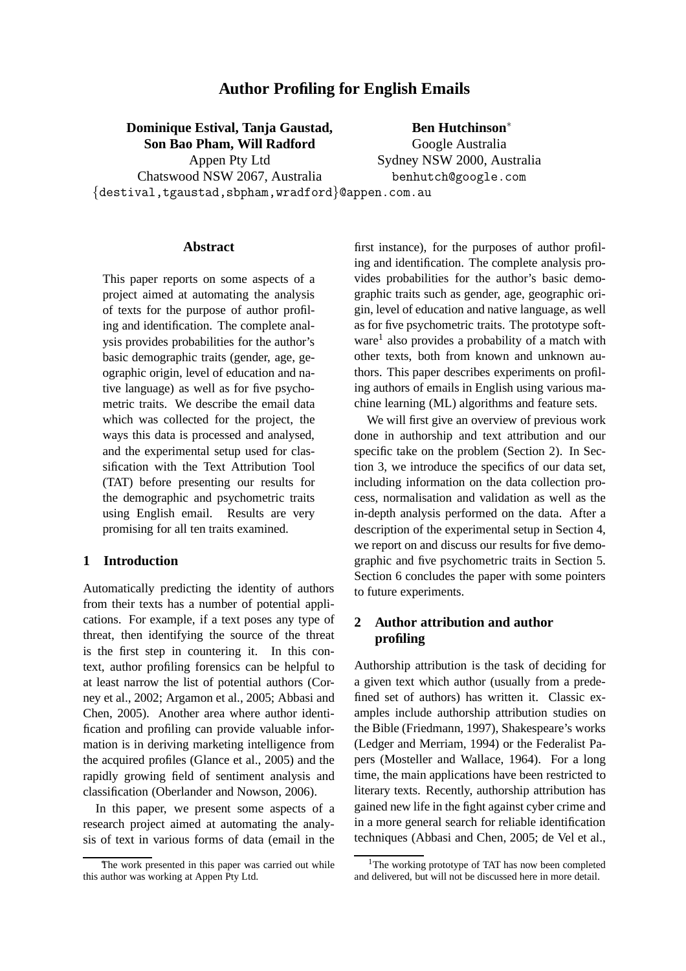# **Author Profiling for English Emails**

# **Dominique Estival, Tanja Gaustad, Son Bao Pham, Will Radford**

Chatswood NSW 2067, Australia

Appen Pty Ltd

**Ben Hutchinson**<sup>∗</sup> Google Australia Sydney NSW 2000, Australia benhutch@google.com

{destival,tgaustad,sbpham,wradford}@appen.com.au

#### **Abstract**

This paper reports on some aspects of a project aimed at automating the analysis of texts for the purpose of author profiling and identification. The complete analysis provides probabilities for the author's basic demographic traits (gender, age, geographic origin, level of education and native language) as well as for five psychometric traits. We describe the email data which was collected for the project, the ways this data is processed and analysed, and the experimental setup used for classification with the Text Attribution Tool (TAT) before presenting our results for the demographic and psychometric traits using English email. Results are very promising for all ten traits examined.

## **1 Introduction**

Automatically predicting the identity of authors from their texts has a number of potential applications. For example, if a text poses any type of threat, then identifying the source of the threat is the first step in countering it. In this context, author profiling forensics can be helpful to at least narrow the list of potential authors (Corney et al., 2002; Argamon et al., 2005; Abbasi and Chen, 2005). Another area where author identification and profiling can provide valuable information is in deriving marketing intelligence from the acquired profiles (Glance et al., 2005) and the rapidly growing field of sentiment analysis and classification (Oberlander and Nowson, 2006).

In this paper, we present some aspects of a research project aimed at automating the analysis of text in various forms of data (email in the

first instance), for the purposes of author profiling and identification. The complete analysis provides probabilities for the author's basic demographic traits such as gender, age, geographic origin, level of education and native language, as well as for five psychometric traits. The prototype software<sup>1</sup> also provides a probability of a match with other texts, both from known and unknown authors. This paper describes experiments on profiling authors of emails in English using various machine learning (ML) algorithms and feature sets.

We will first give an overview of previous work done in authorship and text attribution and our specific take on the problem (Section 2). In Section 3, we introduce the specifics of our data set, including information on the data collection process, normalisation and validation as well as the in-depth analysis performed on the data. After a description of the experimental setup in Section 4, we report on and discuss our results for five demographic and five psychometric traits in Section 5. Section 6 concludes the paper with some pointers to future experiments.

# **2 Author attribution and author profiling**

Authorship attribution is the task of deciding for a given text which author (usually from a predefined set of authors) has written it. Classic examples include authorship attribution studies on the Bible (Friedmann, 1997), Shakespeare's works (Ledger and Merriam, 1994) or the Federalist Papers (Mosteller and Wallace, 1964). For a long time, the main applications have been restricted to literary texts. Recently, authorship attribution has gained new life in the fight against cyber crime and in a more general search for reliable identification techniques (Abbasi and Chen, 2005; de Vel et al.,

The work presented in this paper was carried out while this author was working at Appen Pty Ltd.

<sup>&</sup>lt;sup>1</sup>The working prototype of TAT has now been completed and delivered, but will not be discussed here in more detail.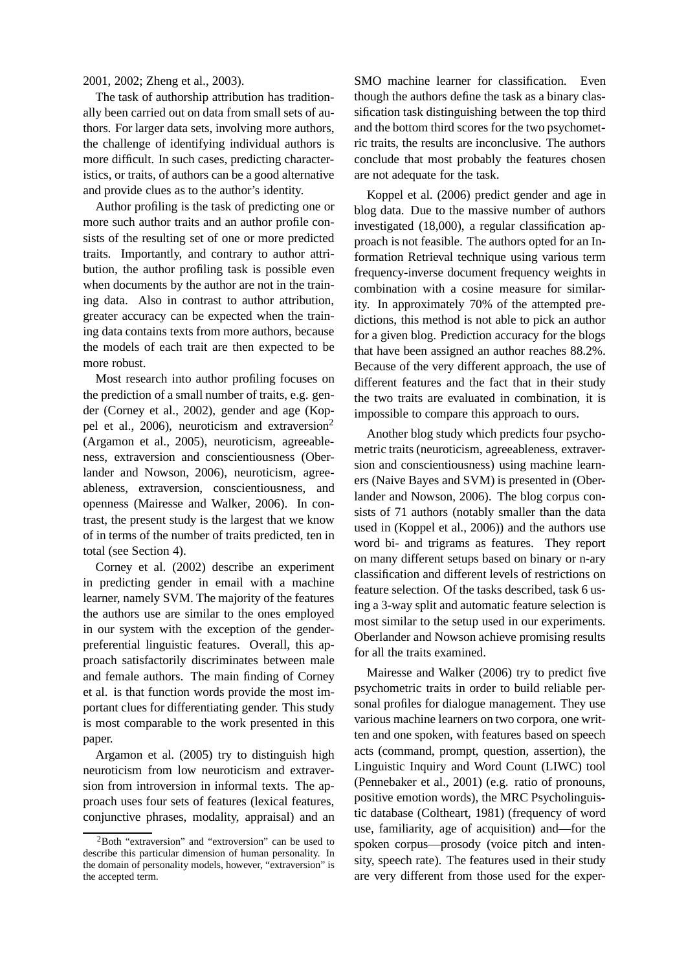2001, 2002; Zheng et al., 2003).

The task of authorship attribution has traditionally been carried out on data from small sets of authors. For larger data sets, involving more authors, the challenge of identifying individual authors is more difficult. In such cases, predicting characteristics, or traits, of authors can be a good alternative and provide clues as to the author's identity.

Author profiling is the task of predicting one or more such author traits and an author profile consists of the resulting set of one or more predicted traits. Importantly, and contrary to author attribution, the author profiling task is possible even when documents by the author are not in the training data. Also in contrast to author attribution, greater accuracy can be expected when the training data contains texts from more authors, because the models of each trait are then expected to be more robust.

Most research into author profiling focuses on the prediction of a small number of traits, e.g. gender (Corney et al., 2002), gender and age (Koppel et al., 2006), neuroticism and extraversion<sup>2</sup> (Argamon et al., 2005), neuroticism, agreeableness, extraversion and conscientiousness (Oberlander and Nowson, 2006), neuroticism, agreeableness, extraversion, conscientiousness, and openness (Mairesse and Walker, 2006). In contrast, the present study is the largest that we know of in terms of the number of traits predicted, ten in total (see Section 4).

Corney et al. (2002) describe an experiment in predicting gender in email with a machine learner, namely SVM. The majority of the features the authors use are similar to the ones employed in our system with the exception of the genderpreferential linguistic features. Overall, this approach satisfactorily discriminates between male and female authors. The main finding of Corney et al. is that function words provide the most important clues for differentiating gender. This study is most comparable to the work presented in this paper.

Argamon et al. (2005) try to distinguish high neuroticism from low neuroticism and extraversion from introversion in informal texts. The approach uses four sets of features (lexical features, conjunctive phrases, modality, appraisal) and an SMO machine learner for classification. Even though the authors define the task as a binary classification task distinguishing between the top third and the bottom third scores for the two psychometric traits, the results are inconclusive. The authors conclude that most probably the features chosen are not adequate for the task.

Koppel et al. (2006) predict gender and age in blog data. Due to the massive number of authors investigated (18,000), a regular classification approach is not feasible. The authors opted for an Information Retrieval technique using various term frequency-inverse document frequency weights in combination with a cosine measure for similarity. In approximately 70% of the attempted predictions, this method is not able to pick an author for a given blog. Prediction accuracy for the blogs that have been assigned an author reaches 88.2%. Because of the very different approach, the use of different features and the fact that in their study the two traits are evaluated in combination, it is impossible to compare this approach to ours.

Another blog study which predicts four psychometric traits (neuroticism, agreeableness, extraversion and conscientiousness) using machine learners (Naive Bayes and SVM) is presented in (Oberlander and Nowson, 2006). The blog corpus consists of 71 authors (notably smaller than the data used in (Koppel et al., 2006)) and the authors use word bi- and trigrams as features. They report on many different setups based on binary or n-ary classification and different levels of restrictions on feature selection. Of the tasks described, task 6 using a 3-way split and automatic feature selection is most similar to the setup used in our experiments. Oberlander and Nowson achieve promising results for all the traits examined.

Mairesse and Walker (2006) try to predict five psychometric traits in order to build reliable personal profiles for dialogue management. They use various machine learners on two corpora, one written and one spoken, with features based on speech acts (command, prompt, question, assertion), the Linguistic Inquiry and Word Count (LIWC) tool (Pennebaker et al., 2001) (e.g. ratio of pronouns, positive emotion words), the MRC Psycholinguistic database (Coltheart, 1981) (frequency of word use, familiarity, age of acquisition) and—for the spoken corpus—prosody (voice pitch and intensity, speech rate). The features used in their study are very different from those used for the exper-

<sup>2</sup>Both "extraversion" and "extroversion" can be used to describe this particular dimension of human personality. In the domain of personality models, however, "extraversion" is the accepted term.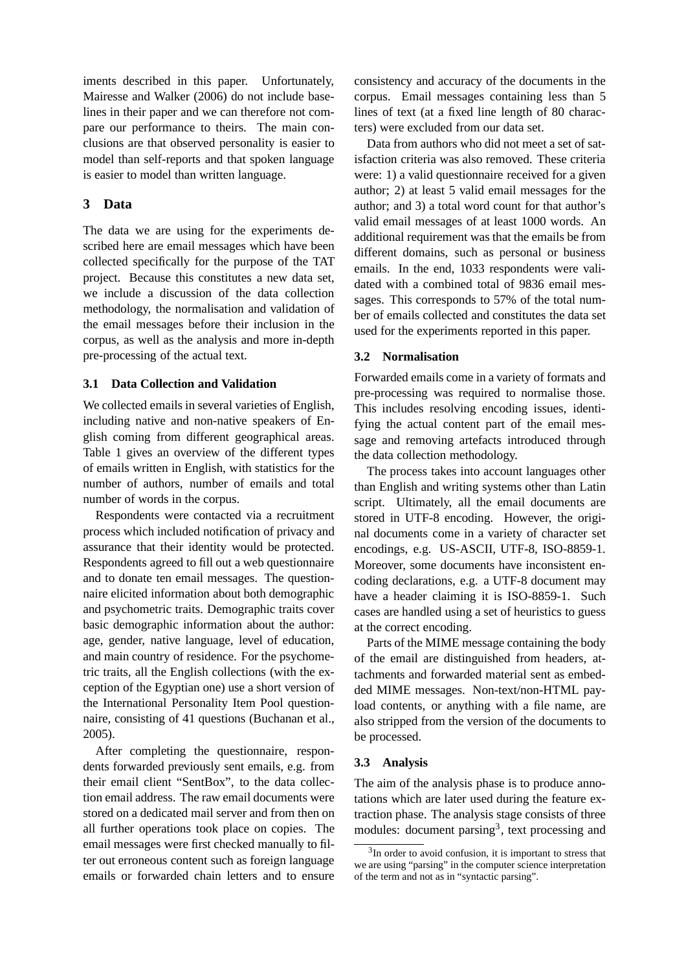iments described in this paper. Unfortunately, Mairesse and Walker (2006) do not include baselines in their paper and we can therefore not compare our performance to theirs. The main conclusions are that observed personality is easier to model than self-reports and that spoken language is easier to model than written language.

# **3 Data**

The data we are using for the experiments described here are email messages which have been collected specifically for the purpose of the TAT project. Because this constitutes a new data set, we include a discussion of the data collection methodology, the normalisation and validation of the email messages before their inclusion in the corpus, as well as the analysis and more in-depth pre-processing of the actual text.

### **3.1 Data Collection and Validation**

We collected emails in several varieties of English, including native and non-native speakers of English coming from different geographical areas. Table 1 gives an overview of the different types of emails written in English, with statistics for the number of authors, number of emails and total number of words in the corpus.

Respondents were contacted via a recruitment process which included notification of privacy and assurance that their identity would be protected. Respondents agreed to fill out a web questionnaire and to donate ten email messages. The questionnaire elicited information about both demographic and psychometric traits. Demographic traits cover basic demographic information about the author: age, gender, native language, level of education, and main country of residence. For the psychometric traits, all the English collections (with the exception of the Egyptian one) use a short version of the International Personality Item Pool questionnaire, consisting of 41 questions (Buchanan et al., 2005).

After completing the questionnaire, respondents forwarded previously sent emails, e.g. from their email client "SentBox", to the data collection email address. The raw email documents were stored on a dedicated mail server and from then on all further operations took place on copies. The email messages were first checked manually to filter out erroneous content such as foreign language emails or forwarded chain letters and to ensure consistency and accuracy of the documents in the corpus. Email messages containing less than 5 lines of text (at a fixed line length of 80 characters) were excluded from our data set.

Data from authors who did not meet a set of satisfaction criteria was also removed. These criteria were: 1) a valid questionnaire received for a given author; 2) at least 5 valid email messages for the author; and 3) a total word count for that author's valid email messages of at least 1000 words. An additional requirement was that the emails be from different domains, such as personal or business emails. In the end, 1033 respondents were validated with a combined total of 9836 email messages. This corresponds to 57% of the total number of emails collected and constitutes the data set used for the experiments reported in this paper.

### **3.2 Normalisation**

Forwarded emails come in a variety of formats and pre-processing was required to normalise those. This includes resolving encoding issues, identifying the actual content part of the email message and removing artefacts introduced through the data collection methodology.

The process takes into account languages other than English and writing systems other than Latin script. Ultimately, all the email documents are stored in UTF-8 encoding. However, the original documents come in a variety of character set encodings, e.g. US-ASCII, UTF-8, ISO-8859-1. Moreover, some documents have inconsistent encoding declarations, e.g. a UTF-8 document may have a header claiming it is ISO-8859-1. Such cases are handled using a set of heuristics to guess at the correct encoding.

Parts of the MIME message containing the body of the email are distinguished from headers, attachments and forwarded material sent as embedded MIME messages. Non-text/non-HTML payload contents, or anything with a file name, are also stripped from the version of the documents to be processed.

#### **3.3 Analysis**

The aim of the analysis phase is to produce annotations which are later used during the feature extraction phase. The analysis stage consists of three modules: document parsing<sup>3</sup>, text processing and

 $3$ In order to avoid confusion, it is important to stress that we are using "parsing" in the computer science interpretation of the term and not as in "syntactic parsing".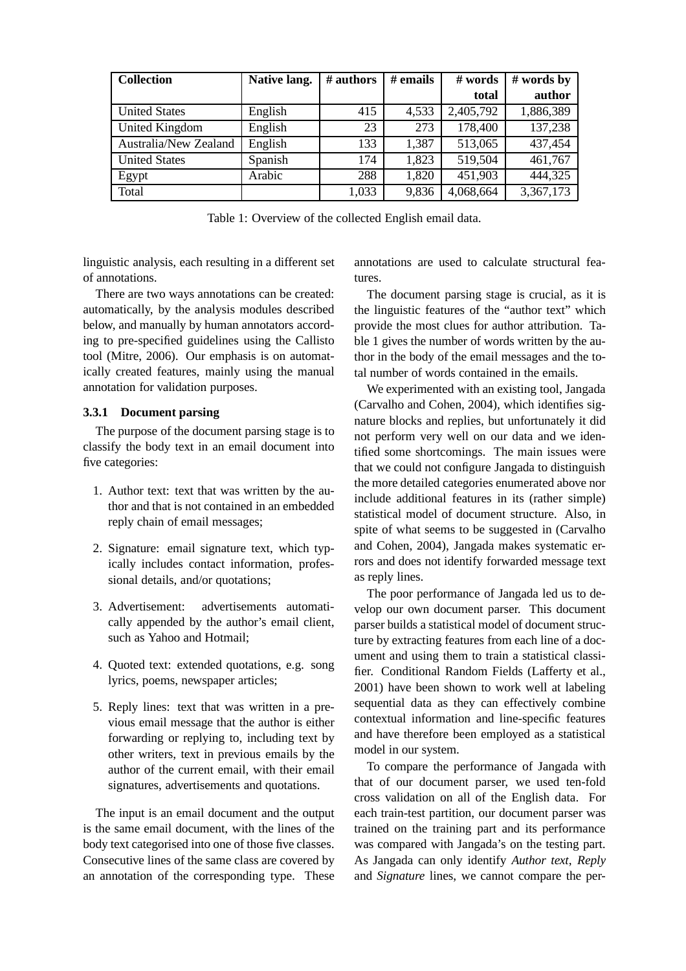| <b>Collection</b>     | Native lang. | # authors | $#$ emails | # words   | $#$ words by |
|-----------------------|--------------|-----------|------------|-----------|--------------|
|                       |              |           |            | total     | author       |
| <b>United States</b>  | English      | 415       | 4,533      | 2,405,792 | 1,886,389    |
| <b>United Kingdom</b> | English      | 23        | 273        | 178,400   | 137,238      |
| Australia/New Zealand | English      | 133       | 1,387      | 513,065   | 437,454      |
| <b>United States</b>  | Spanish      | 174       | 1,823      | 519,504   | 461,767      |
| Egypt                 | Arabic       | 288       | 1,820      | 451,903   | 444,325      |
| Total                 |              | 1,033     | 9,836      | 4,068,664 | 3,367,173    |

Table 1: Overview of the collected English email data.

linguistic analysis, each resulting in a different set of annotations.

There are two ways annotations can be created: automatically, by the analysis modules described below, and manually by human annotators according to pre-specified guidelines using the Callisto tool (Mitre, 2006). Our emphasis is on automatically created features, mainly using the manual annotation for validation purposes.

### **3.3.1 Document parsing**

The purpose of the document parsing stage is to classify the body text in an email document into five categories:

- 1. Author text: text that was written by the author and that is not contained in an embedded reply chain of email messages;
- 2. Signature: email signature text, which typically includes contact information, professional details, and/or quotations;
- 3. Advertisement: advertisements automatically appended by the author's email client, such as Yahoo and Hotmail;
- 4. Quoted text: extended quotations, e.g. song lyrics, poems, newspaper articles;
- 5. Reply lines: text that was written in a previous email message that the author is either forwarding or replying to, including text by other writers, text in previous emails by the author of the current email, with their email signatures, advertisements and quotations.

The input is an email document and the output is the same email document, with the lines of the body text categorised into one of those five classes. Consecutive lines of the same class are covered by an annotation of the corresponding type. These annotations are used to calculate structural features.

The document parsing stage is crucial, as it is the linguistic features of the "author text" which provide the most clues for author attribution. Table 1 gives the number of words written by the author in the body of the email messages and the total number of words contained in the emails.

We experimented with an existing tool, Jangada (Carvalho and Cohen, 2004), which identifies signature blocks and replies, but unfortunately it did not perform very well on our data and we identified some shortcomings. The main issues were that we could not configure Jangada to distinguish the more detailed categories enumerated above nor include additional features in its (rather simple) statistical model of document structure. Also, in spite of what seems to be suggested in (Carvalho and Cohen, 2004), Jangada makes systematic errors and does not identify forwarded message text as reply lines.

The poor performance of Jangada led us to develop our own document parser. This document parser builds a statistical model of document structure by extracting features from each line of a document and using them to train a statistical classifier. Conditional Random Fields (Lafferty et al., 2001) have been shown to work well at labeling sequential data as they can effectively combine contextual information and line-specific features and have therefore been employed as a statistical model in our system.

To compare the performance of Jangada with that of our document parser, we used ten-fold cross validation on all of the English data. For each train-test partition, our document parser was trained on the training part and its performance was compared with Jangada's on the testing part. As Jangada can only identify *Author text*, *Reply* and *Signature* lines, we cannot compare the per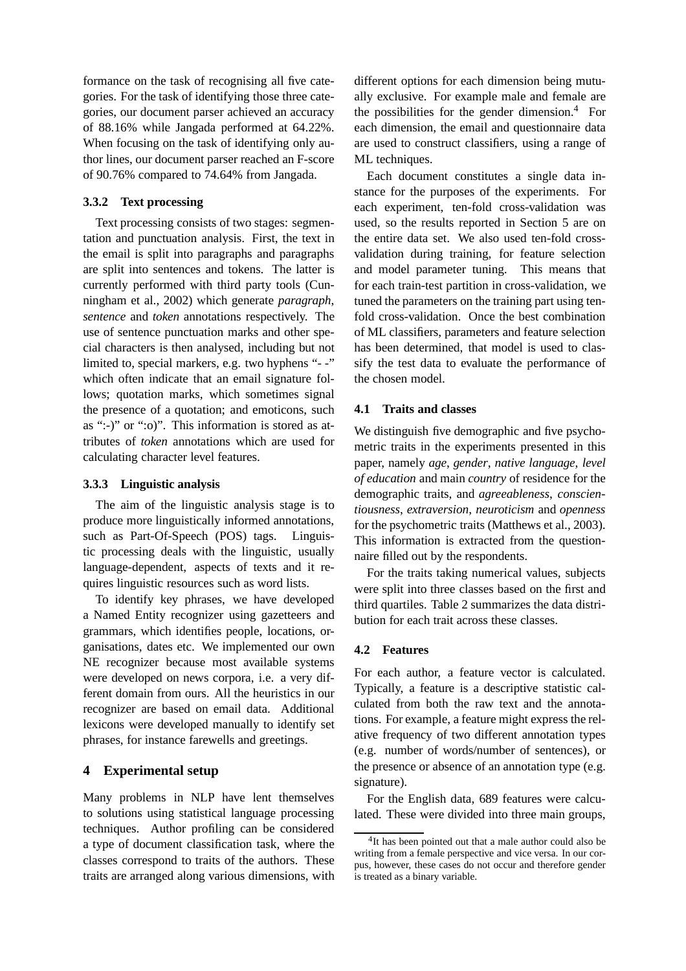formance on the task of recognising all five categories. For the task of identifying those three categories, our document parser achieved an accuracy of 88.16% while Jangada performed at 64.22%. When focusing on the task of identifying only author lines, our document parser reached an F-score of 90.76% compared to 74.64% from Jangada.

## **3.3.2 Text processing**

Text processing consists of two stages: segmentation and punctuation analysis. First, the text in the email is split into paragraphs and paragraphs are split into sentences and tokens. The latter is currently performed with third party tools (Cunningham et al., 2002) which generate *paragraph*, *sentence* and *token* annotations respectively. The use of sentence punctuation marks and other special characters is then analysed, including but not limited to, special markers, e.g. two hyphens "- -" which often indicate that an email signature follows; quotation marks, which sometimes signal the presence of a quotation; and emoticons, such as ":-)" or ":o)". This information is stored as attributes of *token* annotations which are used for calculating character level features.

#### **3.3.3 Linguistic analysis**

The aim of the linguistic analysis stage is to produce more linguistically informed annotations, such as Part-Of-Speech (POS) tags. Linguistic processing deals with the linguistic, usually language-dependent, aspects of texts and it requires linguistic resources such as word lists.

To identify key phrases, we have developed a Named Entity recognizer using gazetteers and grammars, which identifies people, locations, organisations, dates etc. We implemented our own NE recognizer because most available systems were developed on news corpora, i.e. a very different domain from ours. All the heuristics in our recognizer are based on email data. Additional lexicons were developed manually to identify set phrases, for instance farewells and greetings.

### **4 Experimental setup**

Many problems in NLP have lent themselves to solutions using statistical language processing techniques. Author profiling can be considered a type of document classification task, where the classes correspond to traits of the authors. These traits are arranged along various dimensions, with

different options for each dimension being mutually exclusive. For example male and female are the possibilities for the gender dimension. $4$  For each dimension, the email and questionnaire data are used to construct classifiers, using a range of ML techniques.

Each document constitutes a single data instance for the purposes of the experiments. For each experiment, ten-fold cross-validation was used, so the results reported in Section 5 are on the entire data set. We also used ten-fold crossvalidation during training, for feature selection and model parameter tuning. This means that for each train-test partition in cross-validation, we tuned the parameters on the training part using tenfold cross-validation. Once the best combination of ML classifiers, parameters and feature selection has been determined, that model is used to classify the test data to evaluate the performance of the chosen model.

#### **4.1 Traits and classes**

We distinguish five demographic and five psychometric traits in the experiments presented in this paper, namely *age*, *gender*, *native language*, *level of education* and main *country* of residence for the demographic traits, and *agreeableness*, *conscientiousness*, *extraversion*, *neuroticism* and *openness* for the psychometric traits (Matthews et al., 2003). This information is extracted from the questionnaire filled out by the respondents.

For the traits taking numerical values, subjects were split into three classes based on the first and third quartiles. Table 2 summarizes the data distribution for each trait across these classes.

#### **4.2 Features**

For each author, a feature vector is calculated. Typically, a feature is a descriptive statistic calculated from both the raw text and the annotations. For example, a feature might express the relative frequency of two different annotation types (e.g. number of words/number of sentences), or the presence or absence of an annotation type (e.g. signature).

For the English data, 689 features were calculated. These were divided into three main groups,

<sup>&</sup>lt;sup>4</sup>It has been pointed out that a male author could also be writing from a female perspective and vice versa. In our corpus, however, these cases do not occur and therefore gender is treated as a binary variable.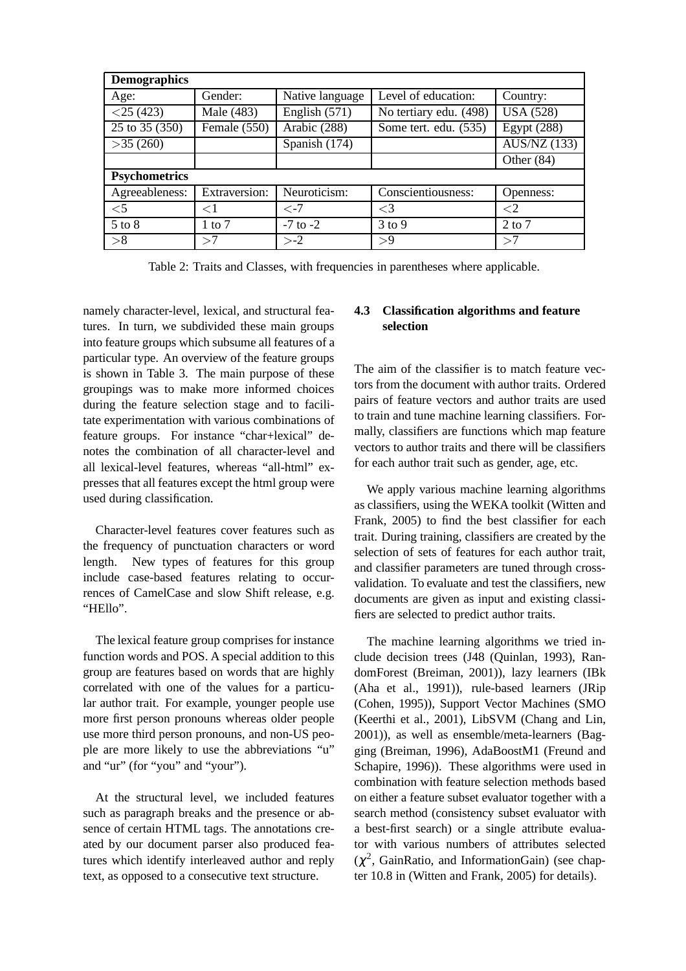| <b>Demographics</b>         |                      |                 |                        |                                   |  |  |
|-----------------------------|----------------------|-----------------|------------------------|-----------------------------------|--|--|
| Age:                        | Gender:              | Native language | Level of education:    | Country:                          |  |  |
| $<$ 25 (423)                | Male (483)           | English $(571)$ | No tertiary edu. (498) | <b>USA (528)</b>                  |  |  |
| $\overline{25}$ to 35 (350) | Female (550)         | Arabic (288)    | Some tert. edu. (535)  | $\overline{\text{Egypt}}$ (288)   |  |  |
| >35(260)                    |                      | Spanish (174)   |                        | $\overline{\text{AUS}}$ /NZ (133) |  |  |
|                             |                      |                 |                        | Other $(84)$                      |  |  |
| <b>Psychometrics</b>        |                      |                 |                        |                                   |  |  |
| Agreeableness:              | <b>Extraversion:</b> | Neuroticism:    | Conscientiousness:     | Openness:                         |  |  |
| $<$ 5                       | $\leq$ 1             | $\epsilon$ -7   | $\leq$ 3               | ${<}2$                            |  |  |
| $5$ to $8$                  | $1$ to $7$           | $-7$ to $-2$    | $3$ to $9$             | $2$ to $7$                        |  |  |
| >8                          | >7                   | $> -2$          | >9                     | >7                                |  |  |

Table 2: Traits and Classes, with frequencies in parentheses where applicable.

namely character-level, lexical, and structural features. In turn, we subdivided these main groups into feature groups which subsume all features of a particular type. An overview of the feature groups is shown in Table 3. The main purpose of these groupings was to make more informed choices during the feature selection stage and to facilitate experimentation with various combinations of feature groups. For instance "char+lexical" denotes the combination of all character-level and all lexical-level features, whereas "all-html" expresses that all features except the html group were used during classification.

Character-level features cover features such as the frequency of punctuation characters or word length. New types of features for this group include case-based features relating to occurrences of CamelCase and slow Shift release, e.g. "HEllo".

The lexical feature group comprises for instance function words and POS. A special addition to this group are features based on words that are highly correlated with one of the values for a particular author trait. For example, younger people use more first person pronouns whereas older people use more third person pronouns, and non-US people are more likely to use the abbreviations "u" and "ur" (for "you" and "your").

At the structural level, we included features such as paragraph breaks and the presence or absence of certain HTML tags. The annotations created by our document parser also produced features which identify interleaved author and reply text, as opposed to a consecutive text structure.

# **4.3 Classification algorithms and feature selection**

The aim of the classifier is to match feature vectors from the document with author traits. Ordered pairs of feature vectors and author traits are used to train and tune machine learning classifiers. Formally, classifiers are functions which map feature vectors to author traits and there will be classifiers for each author trait such as gender, age, etc.

We apply various machine learning algorithms as classifiers, using the WEKA toolkit (Witten and Frank, 2005) to find the best classifier for each trait. During training, classifiers are created by the selection of sets of features for each author trait, and classifier parameters are tuned through crossvalidation. To evaluate and test the classifiers, new documents are given as input and existing classifiers are selected to predict author traits.

The machine learning algorithms we tried include decision trees (J48 (Quinlan, 1993), RandomForest (Breiman, 2001)), lazy learners (IBk (Aha et al., 1991)), rule-based learners (JRip (Cohen, 1995)), Support Vector Machines (SMO (Keerthi et al., 2001), LibSVM (Chang and Lin, 2001)), as well as ensemble/meta-learners (Bagging (Breiman, 1996), AdaBoostM1 (Freund and Schapire, 1996)). These algorithms were used in combination with feature selection methods based on either a feature subset evaluator together with a search method (consistency subset evaluator with a best-first search) or a single attribute evaluator with various numbers of attributes selected  $(\chi^2)$ , GainRatio, and InformationGain) (see chapter 10.8 in (Witten and Frank, 2005) for details).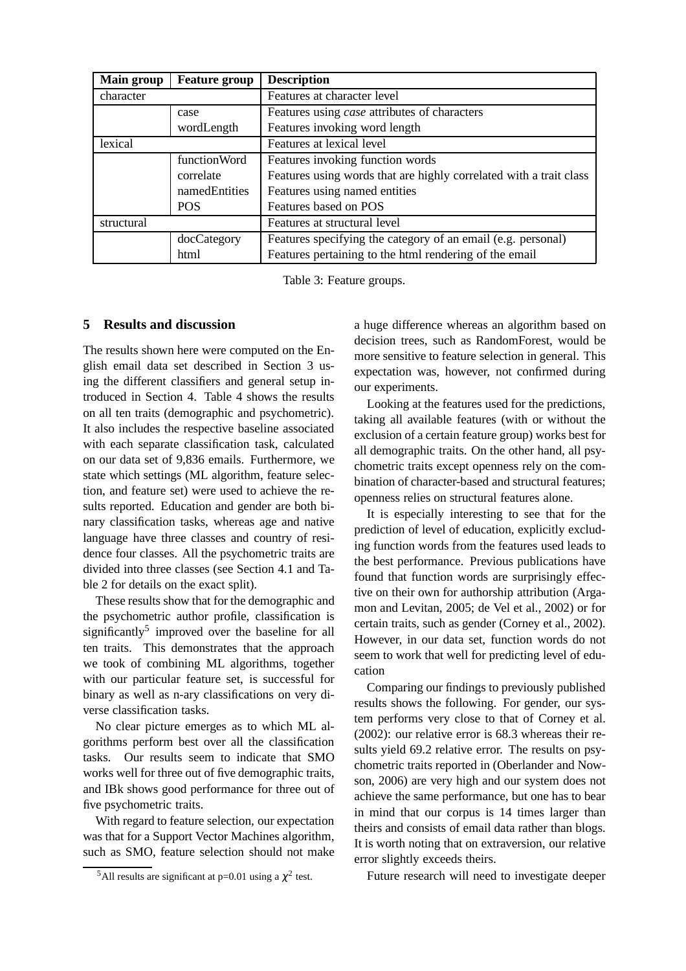| Main group | <b>Feature group</b> | <b>Description</b>                                                 |
|------------|----------------------|--------------------------------------------------------------------|
| character  |                      | Features at character level                                        |
|            | case                 | Features using case attributes of characters                       |
|            | wordLength           | Features invoking word length                                      |
| lexical    |                      | Features at lexical level                                          |
|            | functionWord         | Features invoking function words                                   |
|            | correlate            | Features using words that are highly correlated with a trait class |
|            | namedEntities        | Features using named entities                                      |
|            | <b>POS</b>           | Features based on POS                                              |
| structural |                      | Features at structural level                                       |
|            | docCategory          | Features specifying the category of an email (e.g. personal)       |
|            | html                 | Features pertaining to the html rendering of the email             |

Table 3: Feature groups.

# **5 Results and discussion**

The results shown here were computed on the English email data set described in Section 3 using the different classifiers and general setup introduced in Section 4. Table 4 shows the results on all ten traits (demographic and psychometric). It also includes the respective baseline associated with each separate classification task, calculated on our data set of 9,836 emails. Furthermore, we state which settings (ML algorithm, feature selection, and feature set) were used to achieve the results reported. Education and gender are both binary classification tasks, whereas age and native language have three classes and country of residence four classes. All the psychometric traits are divided into three classes (see Section 4.1 and Table 2 for details on the exact split).

These results show that for the demographic and the psychometric author profile, classification is significantly<sup>5</sup> improved over the baseline for all ten traits. This demonstrates that the approach we took of combining ML algorithms, together with our particular feature set, is successful for binary as well as n-ary classifications on very diverse classification tasks.

No clear picture emerges as to which ML algorithms perform best over all the classification tasks. Our results seem to indicate that SMO works well for three out of five demographic traits, and IBk shows good performance for three out of five psychometric traits.

With regard to feature selection, our expectation was that for a Support Vector Machines algorithm, such as SMO, feature selection should not make a huge difference whereas an algorithm based on decision trees, such as RandomForest, would be more sensitive to feature selection in general. This expectation was, however, not confirmed during our experiments.

Looking at the features used for the predictions, taking all available features (with or without the exclusion of a certain feature group) works best for all demographic traits. On the other hand, all psychometric traits except openness rely on the combination of character-based and structural features; openness relies on structural features alone.

It is especially interesting to see that for the prediction of level of education, explicitly excluding function words from the features used leads to the best performance. Previous publications have found that function words are surprisingly effective on their own for authorship attribution (Argamon and Levitan, 2005; de Vel et al., 2002) or for certain traits, such as gender (Corney et al., 2002). However, in our data set, function words do not seem to work that well for predicting level of education

Comparing our findings to previously published results shows the following. For gender, our system performs very close to that of Corney et al. (2002): our relative error is 68.3 whereas their results yield 69.2 relative error. The results on psychometric traits reported in (Oberlander and Nowson, 2006) are very high and our system does not achieve the same performance, but one has to bear in mind that our corpus is 14 times larger than theirs and consists of email data rather than blogs. It is worth noting that on extraversion, our relative error slightly exceeds theirs.

Future research will need to investigate deeper

<sup>&</sup>lt;sup>5</sup>All results are significant at p=0.01 using a  $\chi^2$  test.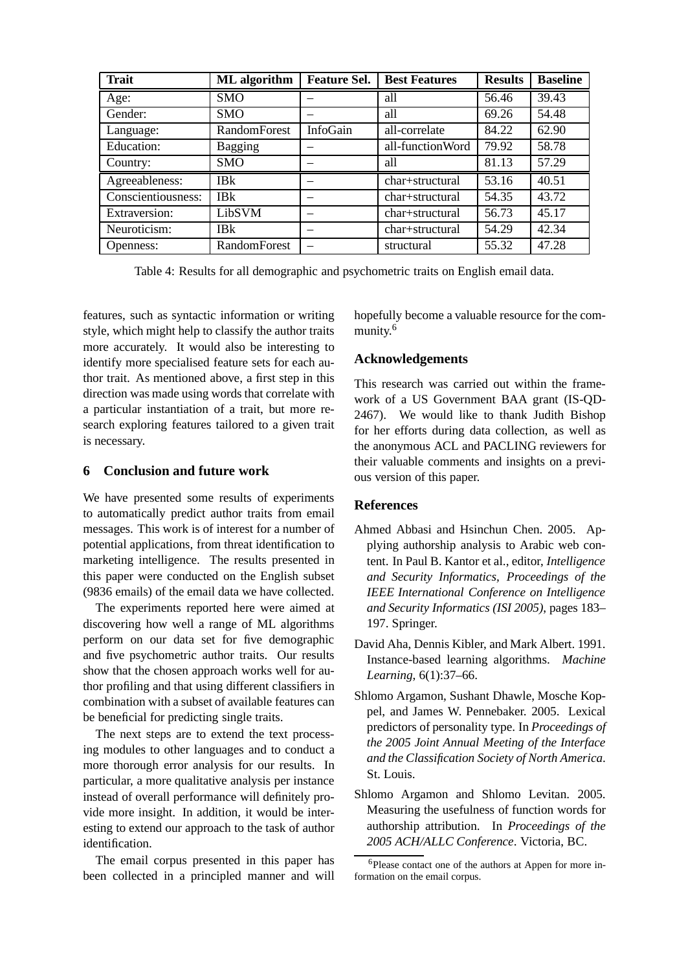| <b>Trait</b>       | ML algorithm           | <b>Feature Sel.</b> | <b>Best Features</b> | <b>Results</b> | <b>Baseline</b> |
|--------------------|------------------------|---------------------|----------------------|----------------|-----------------|
| Age:               | <b>SMO</b>             |                     | all                  | 56.46          | 39.43           |
| Gender:            | <b>SMO</b>             |                     | all                  | 69.26          | 54.48           |
| Language:          | RandomForest           | InfoGain            | all-correlate        | 84.22          | 62.90           |
| <b>Education:</b>  | <b>Bagging</b>         |                     | all-functionWord     | 79.92          | 58.78           |
| Country:           | <b>SMO</b>             |                     | all                  | 81.13          | 57.29           |
| Agreeableness:     | <b>IB<sub>k</sub></b>  |                     | char+structural      | 53.16          | 40.51           |
| Conscientiousness: | <b>IB</b> <sub>k</sub> |                     | char+structural      | 54.35          | 43.72           |
| Extraversion:      | LibSVM                 |                     | char+structural      | 56.73          | 45.17           |
| Neuroticism:       | <b>IBk</b>             |                     | char+structural      | 54.29          | 42.34           |
| Openness:          | <b>RandomForest</b>    |                     | structural           | 55.32          | 47.28           |

Table 4: Results for all demographic and psychometric traits on English email data.

features, such as syntactic information or writing style, which might help to classify the author traits more accurately. It would also be interesting to identify more specialised feature sets for each author trait. As mentioned above, a first step in this direction was made using words that correlate with a particular instantiation of a trait, but more research exploring features tailored to a given trait is necessary.

# **6 Conclusion and future work**

We have presented some results of experiments to automatically predict author traits from email messages. This work is of interest for a number of potential applications, from threat identification to marketing intelligence. The results presented in this paper were conducted on the English subset (9836 emails) of the email data we have collected.

The experiments reported here were aimed at discovering how well a range of ML algorithms perform on our data set for five demographic and five psychometric author traits. Our results show that the chosen approach works well for author profiling and that using different classifiers in combination with a subset of available features can be beneficial for predicting single traits.

The next steps are to extend the text processing modules to other languages and to conduct a more thorough error analysis for our results. In particular, a more qualitative analysis per instance instead of overall performance will definitely provide more insight. In addition, it would be interesting to extend our approach to the task of author identification.

The email corpus presented in this paper has been collected in a principled manner and will

hopefully become a valuable resource for the community.<sup>6</sup>

### **Acknowledgements**

This research was carried out within the framework of a US Government BAA grant (IS-QD-2467). We would like to thank Judith Bishop for her efforts during data collection, as well as the anonymous ACL and PACLING reviewers for their valuable comments and insights on a previous version of this paper.

# **References**

- Ahmed Abbasi and Hsinchun Chen. 2005. Applying authorship analysis to Arabic web content. In Paul B. Kantor et al., editor, *Intelligence and Security Informatics, Proceedings of the IEEE International Conference on Intelligence and Security Informatics (ISI 2005)*, pages 183– 197. Springer.
- David Aha, Dennis Kibler, and Mark Albert. 1991. Instance-based learning algorithms. *Machine Learning*, 6(1):37–66.
- Shlomo Argamon, Sushant Dhawle, Mosche Koppel, and James W. Pennebaker. 2005. Lexical predictors of personality type. In *Proceedings of the 2005 Joint Annual Meeting of the Interface and the Classification Society of North America*. St. Louis.
- Shlomo Argamon and Shlomo Levitan. 2005. Measuring the usefulness of function words for authorship attribution. In *Proceedings of the 2005 ACH/ALLC Conference*. Victoria, BC.

<sup>6</sup>Please contact one of the authors at Appen for more information on the email corpus.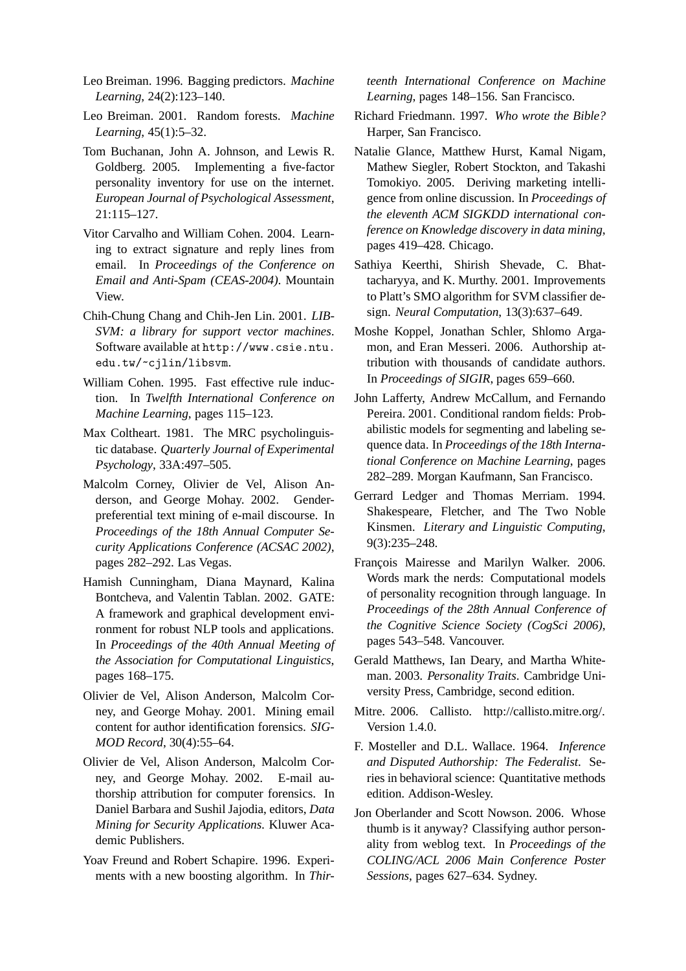- Leo Breiman. 1996. Bagging predictors. *Machine Learning*, 24(2):123–140.
- Leo Breiman. 2001. Random forests. *Machine Learning*, 45(1):5–32.
- Tom Buchanan, John A. Johnson, and Lewis R. Goldberg. 2005. Implementing a five-factor personality inventory for use on the internet. *European Journal of Psychological Assessment*, 21:115–127.
- Vitor Carvalho and William Cohen. 2004. Learning to extract signature and reply lines from email. In *Proceedings of the Conference on Email and Anti-Spam (CEAS-2004)*. Mountain View.
- Chih-Chung Chang and Chih-Jen Lin. 2001. *LIB-SVM: a library for support vector machines*. Software available at http://www.csie.ntu. edu.tw/~cjlin/libsvm.
- William Cohen. 1995. Fast effective rule induction. In *Twelfth International Conference on Machine Learning*, pages 115–123.
- Max Coltheart. 1981. The MRC psycholinguistic database. *Quarterly Journal of Experimental Psychology*, 33A:497–505.
- Malcolm Corney, Olivier de Vel, Alison Anderson, and George Mohay. 2002. Genderpreferential text mining of e-mail discourse. In *Proceedings of the 18th Annual Computer Security Applications Conference (ACSAC 2002)*, pages 282–292. Las Vegas.
- Hamish Cunningham, Diana Maynard, Kalina Bontcheva, and Valentin Tablan. 2002. GATE: A framework and graphical development environment for robust NLP tools and applications. In *Proceedings of the 40th Annual Meeting of the Association for Computational Linguistics*, pages 168–175.
- Olivier de Vel, Alison Anderson, Malcolm Corney, and George Mohay. 2001. Mining email content for author identification forensics. *SIG-MOD Record*, 30(4):55–64.
- Olivier de Vel, Alison Anderson, Malcolm Corney, and George Mohay. 2002. E-mail authorship attribution for computer forensics. In Daniel Barbara and Sushil Jajodia, editors, *Data Mining for Security Applications*. Kluwer Academic Publishers.
- Yoav Freund and Robert Schapire. 1996. Experiments with a new boosting algorithm. In *Thir-*

*teenth International Conference on Machine Learning*, pages 148–156. San Francisco.

- Richard Friedmann. 1997. *Who wrote the Bible?* Harper, San Francisco.
- Natalie Glance, Matthew Hurst, Kamal Nigam, Mathew Siegler, Robert Stockton, and Takashi Tomokiyo. 2005. Deriving marketing intelligence from online discussion. In *Proceedings of the eleventh ACM SIGKDD international conference on Knowledge discovery in data mining*, pages 419–428. Chicago.
- Sathiya Keerthi, Shirish Shevade, C. Bhattacharyya, and K. Murthy. 2001. Improvements to Platt's SMO algorithm for SVM classifier design. *Neural Computation*, 13(3):637–649.
- Moshe Koppel, Jonathan Schler, Shlomo Argamon, and Eran Messeri. 2006. Authorship attribution with thousands of candidate authors. In *Proceedings of SIGIR*, pages 659–660.
- John Lafferty, Andrew McCallum, and Fernando Pereira. 2001. Conditional random fields: Probabilistic models for segmenting and labeling sequence data. In *Proceedings of the 18th International Conference on Machine Learning*, pages 282–289. Morgan Kaufmann, San Francisco.
- Gerrard Ledger and Thomas Merriam. 1994. Shakespeare, Fletcher, and The Two Noble Kinsmen. *Literary and Linguistic Computing*, 9(3):235–248.
- Francois Mairesse and Marilyn Walker. 2006. Words mark the nerds: Computational models of personality recognition through language. In *Proceedings of the 28th Annual Conference of the Cognitive Science Society (CogSci 2006)*, pages 543–548. Vancouver.
- Gerald Matthews, Ian Deary, and Martha Whiteman. 2003. *Personality Traits*. Cambridge University Press, Cambridge, second edition.
- Mitre. 2006. Callisto. http://callisto.mitre.org/. Version 1.4.0.
- F. Mosteller and D.L. Wallace. 1964. *Inference and Disputed Authorship: The Federalist*. Series in behavioral science: Quantitative methods edition. Addison-Wesley.
- Jon Oberlander and Scott Nowson. 2006. Whose thumb is it anyway? Classifying author personality from weblog text. In *Proceedings of the COLING/ACL 2006 Main Conference Poster Sessions*, pages 627–634. Sydney.